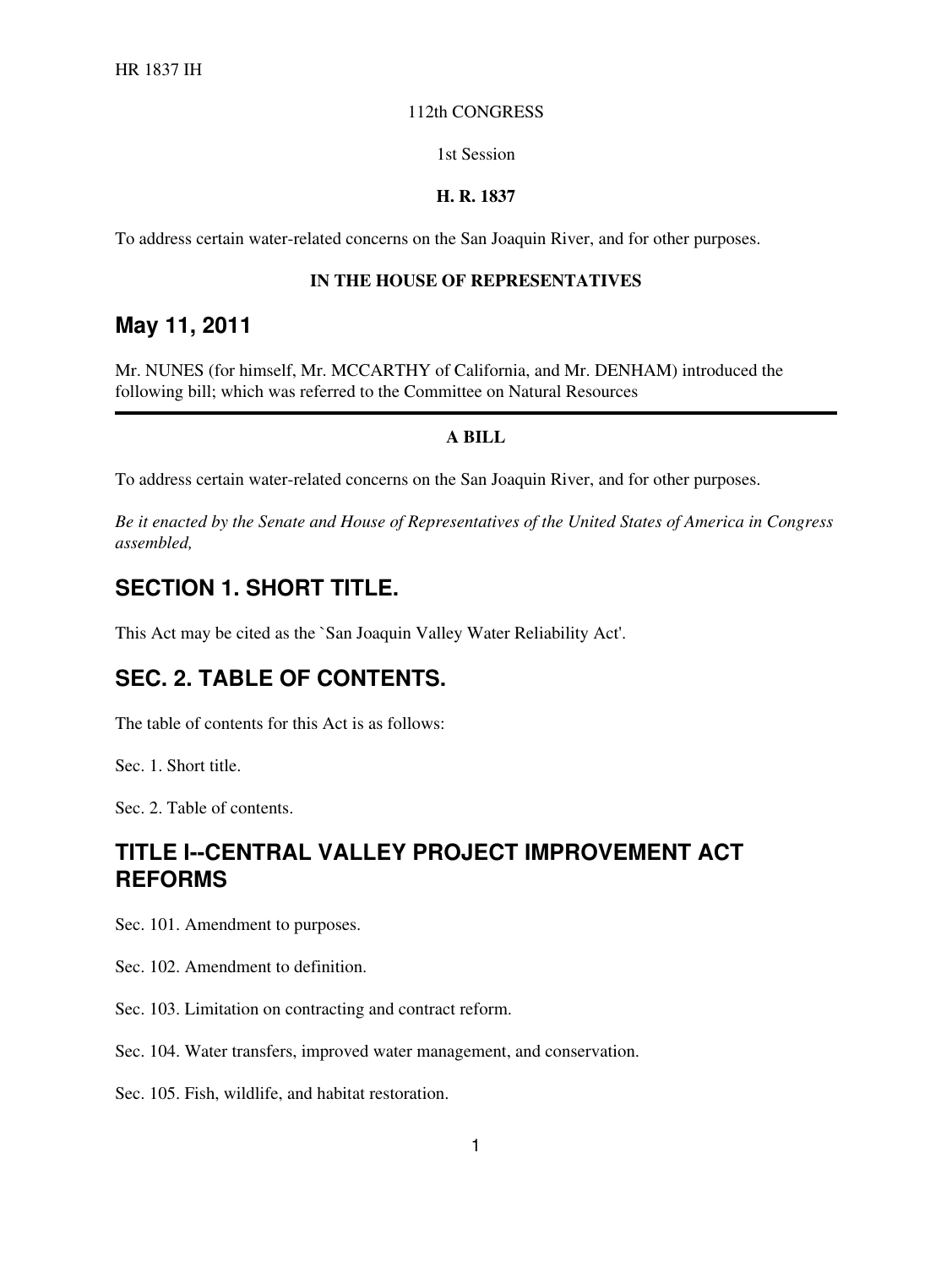#### 112th CONGRESS

1st Session

#### **H. R. 1837**

To address certain water-related concerns on the San Joaquin River, and for other purposes.

#### **IN THE HOUSE OF REPRESENTATIVES**

#### **May 11, 2011**

Mr. NUNES (for himself, Mr. MCCARTHY of California, and Mr. DENHAM) introduced the following bill; which was referred to the Committee on Natural Resources

#### **A BILL**

To address certain water-related concerns on the San Joaquin River, and for other purposes.

*Be it enacted by the Senate and House of Representatives of the United States of America in Congress assembled,*

#### **SECTION 1. SHORT TITLE.**

This Act may be cited as the `San Joaquin Valley Water Reliability Act'.

#### **SEC. 2. TABLE OF CONTENTS.**

The table of contents for this Act is as follows:

Sec. 1. Short title.

Sec. 2. Table of contents.

#### **TITLE I--CENTRAL VALLEY PROJECT IMPROVEMENT ACT REFORMS**

Sec. 101. Amendment to purposes.

- Sec. 102. Amendment to definition.
- Sec. 103. Limitation on contracting and contract reform.
- Sec. 104. Water transfers, improved water management, and conservation.

Sec. 105. Fish, wildlife, and habitat restoration.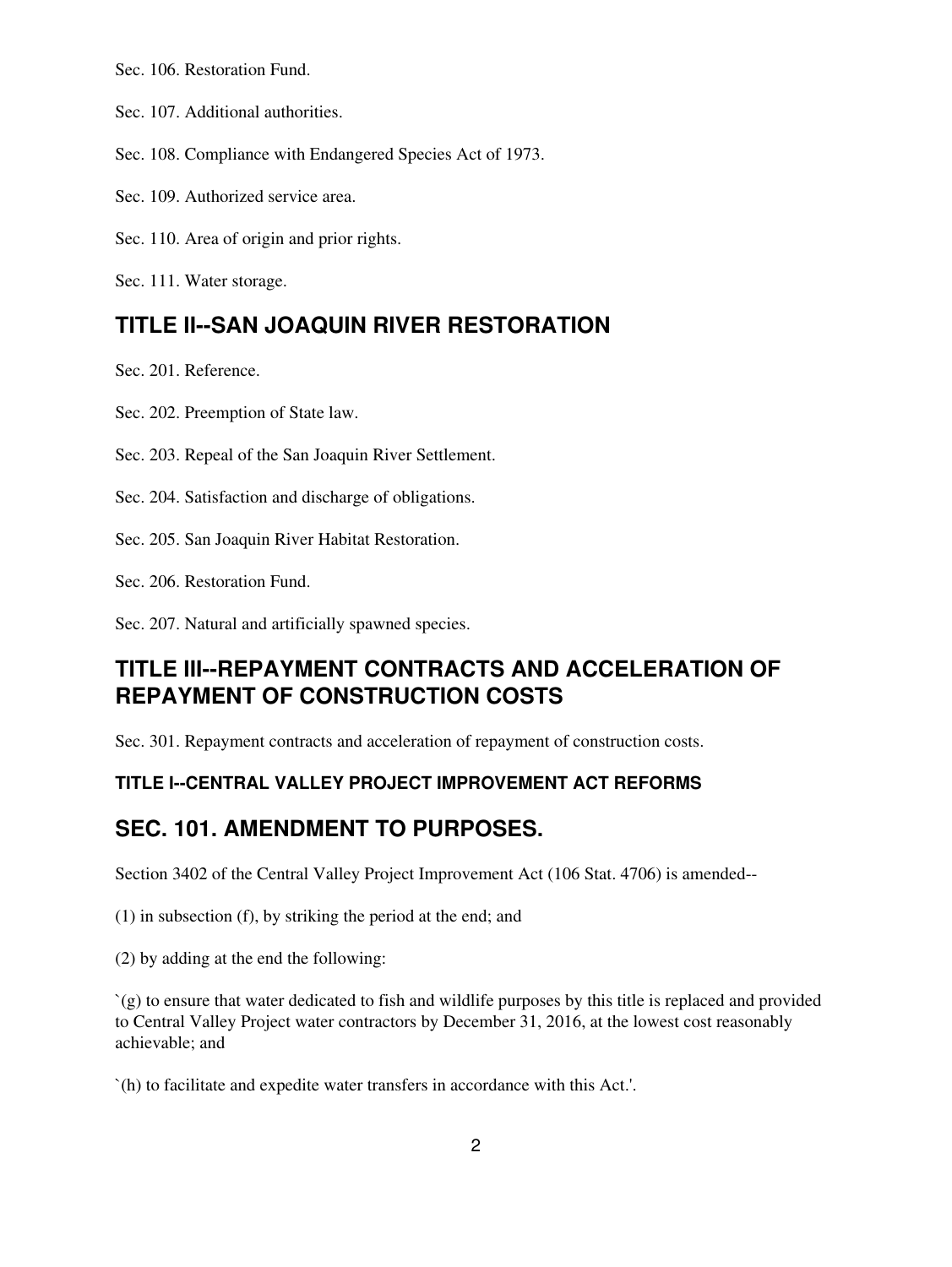Sec. 106. Restoration Fund.

Sec. 107. Additional authorities.

Sec. 108. Compliance with Endangered Species Act of 1973.

Sec. 109. Authorized service area.

Sec. 110. Area of origin and prior rights.

Sec. 111. Water storage.

#### **TITLE II--SAN JOAQUIN RIVER RESTORATION**

Sec. 201. Reference.

Sec. 202. Preemption of State law.

Sec. 203. Repeal of the San Joaquin River Settlement.

Sec. 204. Satisfaction and discharge of obligations.

Sec. 205. San Joaquin River Habitat Restoration.

Sec. 206. Restoration Fund.

Sec. 207. Natural and artificially spawned species.

## **TITLE III--REPAYMENT CONTRACTS AND ACCELERATION OF REPAYMENT OF CONSTRUCTION COSTS**

Sec. 301. Repayment contracts and acceleration of repayment of construction costs.

#### **TITLE I--CENTRAL VALLEY PROJECT IMPROVEMENT ACT REFORMS**

#### **SEC. 101. AMENDMENT TO PURPOSES.**

Section 3402 of the Central Valley Project Improvement Act (106 Stat. 4706) is amended--

(1) in subsection (f), by striking the period at the end; and

(2) by adding at the end the following:

`(g) to ensure that water dedicated to fish and wildlife purposes by this title is replaced and provided to Central Valley Project water contractors by December 31, 2016, at the lowest cost reasonably achievable; and

`(h) to facilitate and expedite water transfers in accordance with this Act.'.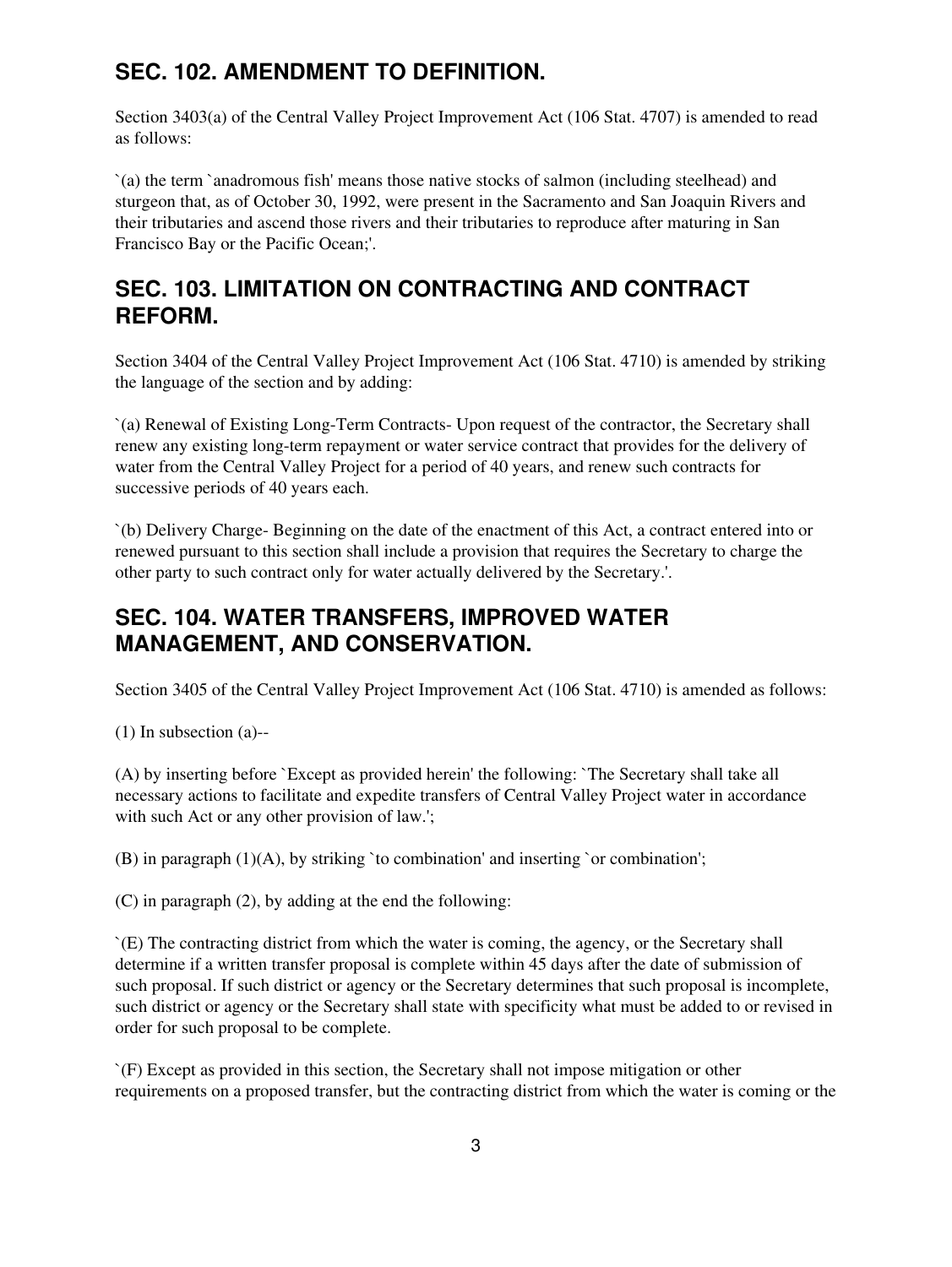# **SEC. 102. AMENDMENT TO DEFINITION.**

Section 3403(a) of the Central Valley Project Improvement Act (106 Stat. 4707) is amended to read as follows:

`(a) the term `anadromous fish' means those native stocks of salmon (including steelhead) and sturgeon that, as of October 30, 1992, were present in the Sacramento and San Joaquin Rivers and their tributaries and ascend those rivers and their tributaries to reproduce after maturing in San Francisco Bay or the Pacific Ocean;'.

## **SEC. 103. LIMITATION ON CONTRACTING AND CONTRACT REFORM.**

Section 3404 of the Central Valley Project Improvement Act (106 Stat. 4710) is amended by striking the language of the section and by adding:

`(a) Renewal of Existing Long-Term Contracts- Upon request of the contractor, the Secretary shall renew any existing long-term repayment or water service contract that provides for the delivery of water from the Central Valley Project for a period of 40 years, and renew such contracts for successive periods of 40 years each.

`(b) Delivery Charge- Beginning on the date of the enactment of this Act, a contract entered into or renewed pursuant to this section shall include a provision that requires the Secretary to charge the other party to such contract only for water actually delivered by the Secretary.'.

### **SEC. 104. WATER TRANSFERS, IMPROVED WATER MANAGEMENT, AND CONSERVATION.**

Section 3405 of the Central Valley Project Improvement Act (106 Stat. 4710) is amended as follows:

(1) In subsection (a)--

(A) by inserting before `Except as provided herein' the following: `The Secretary shall take all necessary actions to facilitate and expedite transfers of Central Valley Project water in accordance with such Act or any other provision of law.';

(B) in paragraph  $(1)(A)$ , by striking 'to combination' and inserting 'or combination';

(C) in paragraph (2), by adding at the end the following:

`(E) The contracting district from which the water is coming, the agency, or the Secretary shall determine if a written transfer proposal is complete within 45 days after the date of submission of such proposal. If such district or agency or the Secretary determines that such proposal is incomplete, such district or agency or the Secretary shall state with specificity what must be added to or revised in order for such proposal to be complete.

`(F) Except as provided in this section, the Secretary shall not impose mitigation or other requirements on a proposed transfer, but the contracting district from which the water is coming or the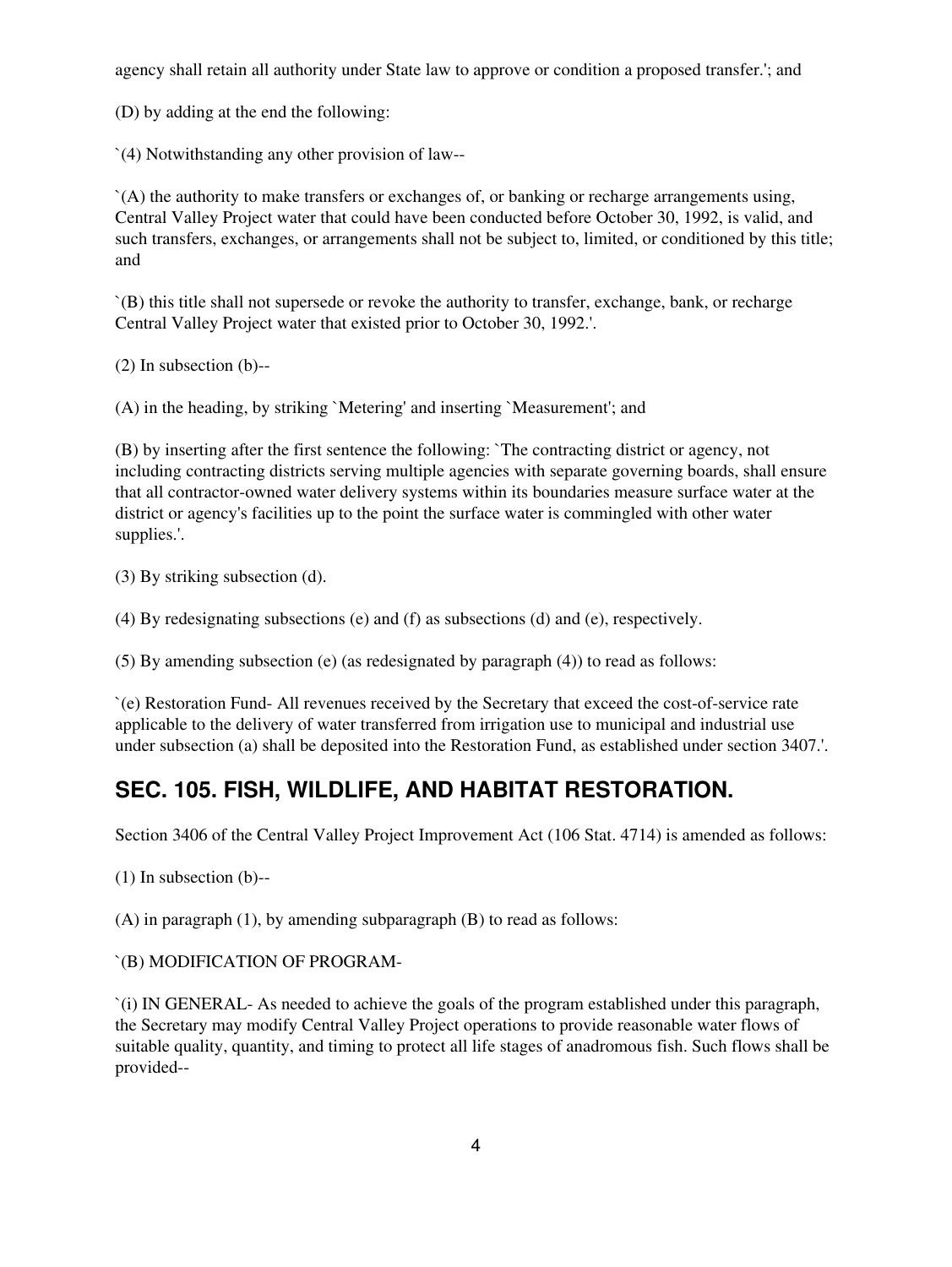agency shall retain all authority under State law to approve or condition a proposed transfer.'; and

(D) by adding at the end the following:

`(4) Notwithstanding any other provision of law--

`(A) the authority to make transfers or exchanges of, or banking or recharge arrangements using, Central Valley Project water that could have been conducted before October 30, 1992, is valid, and such transfers, exchanges, or arrangements shall not be subject to, limited, or conditioned by this title; and

`(B) this title shall not supersede or revoke the authority to transfer, exchange, bank, or recharge Central Valley Project water that existed prior to October 30, 1992.'.

(2) In subsection (b)--

(A) in the heading, by striking `Metering' and inserting `Measurement'; and

(B) by inserting after the first sentence the following: `The contracting district or agency, not including contracting districts serving multiple agencies with separate governing boards, shall ensure that all contractor-owned water delivery systems within its boundaries measure surface water at the district or agency's facilities up to the point the surface water is commingled with other water supplies.'.

(3) By striking subsection (d).

(4) By redesignating subsections (e) and (f) as subsections (d) and (e), respectively.

(5) By amending subsection (e) (as redesignated by paragraph (4)) to read as follows:

`(e) Restoration Fund- All revenues received by the Secretary that exceed the cost-of-service rate applicable to the delivery of water transferred from irrigation use to municipal and industrial use under subsection (a) shall be deposited into the Restoration Fund, as established under section 3407.'.

## **SEC. 105. FISH, WILDLIFE, AND HABITAT RESTORATION.**

Section 3406 of the Central Valley Project Improvement Act (106 Stat. 4714) is amended as follows:

(1) In subsection (b)--

(A) in paragraph (1), by amending subparagraph (B) to read as follows:

#### `(B) MODIFICATION OF PROGRAM-

`(i) IN GENERAL- As needed to achieve the goals of the program established under this paragraph, the Secretary may modify Central Valley Project operations to provide reasonable water flows of suitable quality, quantity, and timing to protect all life stages of anadromous fish. Such flows shall be provided--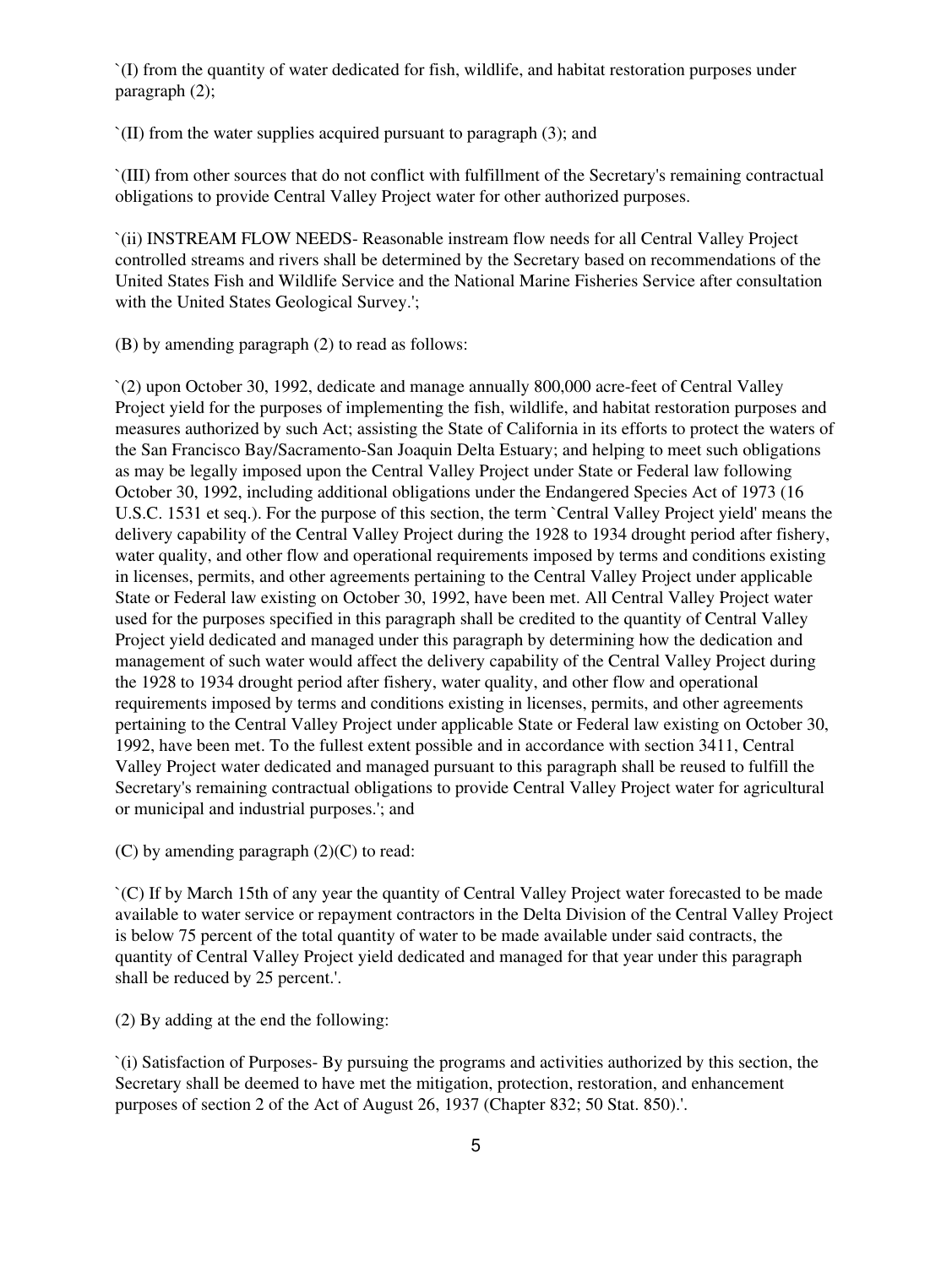`(I) from the quantity of water dedicated for fish, wildlife, and habitat restoration purposes under paragraph (2);

`(II) from the water supplies acquired pursuant to paragraph (3); and

`(III) from other sources that do not conflict with fulfillment of the Secretary's remaining contractual obligations to provide Central Valley Project water for other authorized purposes.

`(ii) INSTREAM FLOW NEEDS- Reasonable instream flow needs for all Central Valley Project controlled streams and rivers shall be determined by the Secretary based on recommendations of the United States Fish and Wildlife Service and the National Marine Fisheries Service after consultation with the United States Geological Survey.';

(B) by amending paragraph (2) to read as follows:

`(2) upon October 30, 1992, dedicate and manage annually 800,000 acre-feet of Central Valley Project yield for the purposes of implementing the fish, wildlife, and habitat restoration purposes and measures authorized by such Act; assisting the State of California in its efforts to protect the waters of the San Francisco Bay/Sacramento-San Joaquin Delta Estuary; and helping to meet such obligations as may be legally imposed upon the Central Valley Project under State or Federal law following October 30, 1992, including additional obligations under the Endangered Species Act of 1973 (16 U.S.C. 1531 et seq.). For the purpose of this section, the term `Central Valley Project yield' means the delivery capability of the Central Valley Project during the 1928 to 1934 drought period after fishery, water quality, and other flow and operational requirements imposed by terms and conditions existing in licenses, permits, and other agreements pertaining to the Central Valley Project under applicable State or Federal law existing on October 30, 1992, have been met. All Central Valley Project water used for the purposes specified in this paragraph shall be credited to the quantity of Central Valley Project yield dedicated and managed under this paragraph by determining how the dedication and management of such water would affect the delivery capability of the Central Valley Project during the 1928 to 1934 drought period after fishery, water quality, and other flow and operational requirements imposed by terms and conditions existing in licenses, permits, and other agreements pertaining to the Central Valley Project under applicable State or Federal law existing on October 30, 1992, have been met. To the fullest extent possible and in accordance with section 3411, Central Valley Project water dedicated and managed pursuant to this paragraph shall be reused to fulfill the Secretary's remaining contractual obligations to provide Central Valley Project water for agricultural or municipal and industrial purposes.'; and

 $(C)$  by amending paragraph  $(2)(C)$  to read:

`(C) If by March 15th of any year the quantity of Central Valley Project water forecasted to be made available to water service or repayment contractors in the Delta Division of the Central Valley Project is below 75 percent of the total quantity of water to be made available under said contracts, the quantity of Central Valley Project yield dedicated and managed for that year under this paragraph shall be reduced by 25 percent.'.

(2) By adding at the end the following:

`(i) Satisfaction of Purposes- By pursuing the programs and activities authorized by this section, the Secretary shall be deemed to have met the mitigation, protection, restoration, and enhancement purposes of section 2 of the Act of August 26, 1937 (Chapter 832; 50 Stat. 850).'.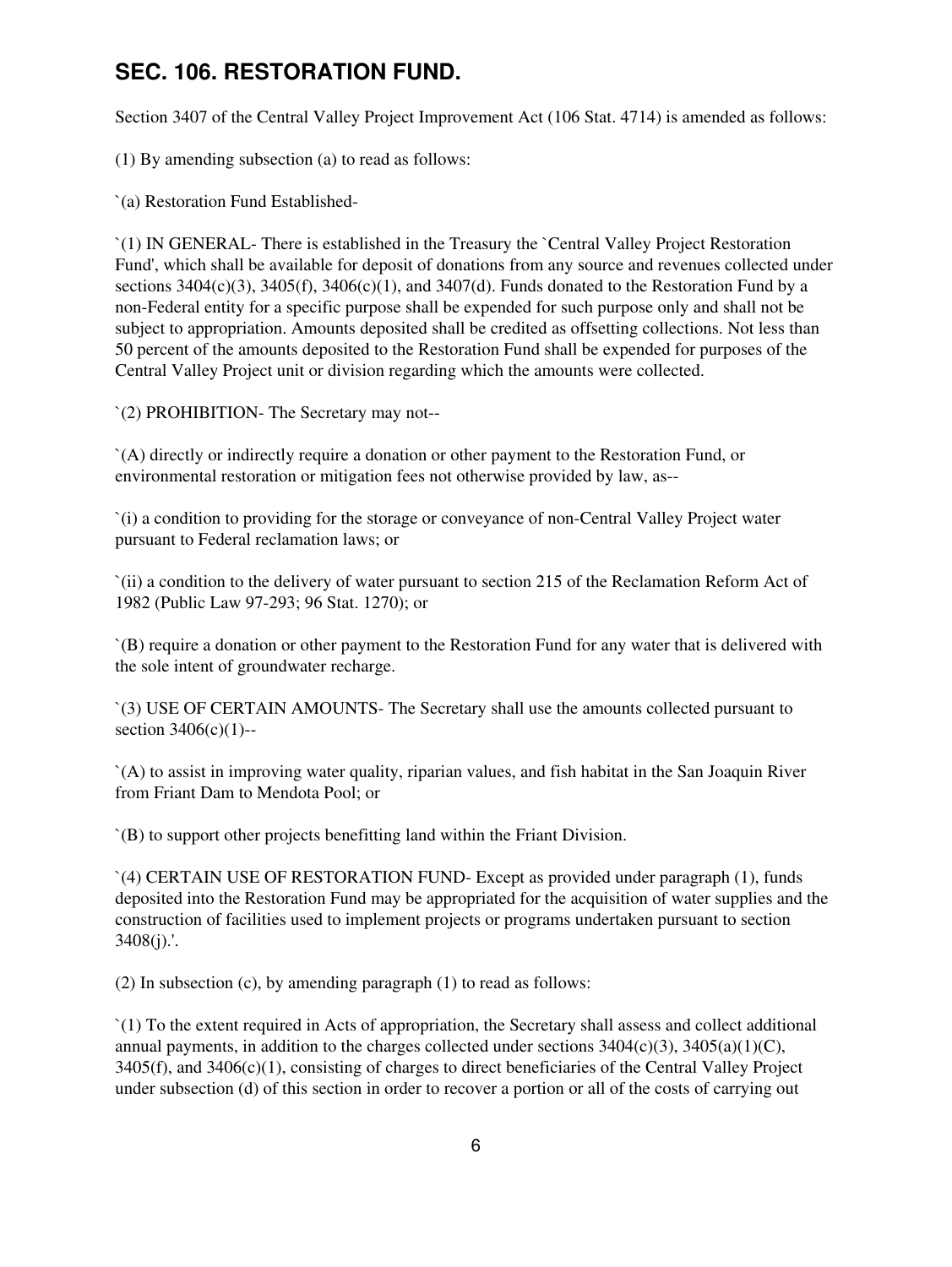## **SEC. 106. RESTORATION FUND.**

Section 3407 of the Central Valley Project Improvement Act (106 Stat. 4714) is amended as follows:

(1) By amending subsection (a) to read as follows:

`(a) Restoration Fund Established-

`(1) IN GENERAL- There is established in the Treasury the `Central Valley Project Restoration Fund', which shall be available for deposit of donations from any source and revenues collected under sections  $3404(c)(3)$ ,  $3405(f)$ ,  $3406(c)(1)$ , and  $3407(d)$ . Funds donated to the Restoration Fund by a non-Federal entity for a specific purpose shall be expended for such purpose only and shall not be subject to appropriation. Amounts deposited shall be credited as offsetting collections. Not less than 50 percent of the amounts deposited to the Restoration Fund shall be expended for purposes of the Central Valley Project unit or division regarding which the amounts were collected.

`(2) PROHIBITION- The Secretary may not--

`(A) directly or indirectly require a donation or other payment to the Restoration Fund, or environmental restoration or mitigation fees not otherwise provided by law, as--

`(i) a condition to providing for the storage or conveyance of non-Central Valley Project water pursuant to Federal reclamation laws; or

`(ii) a condition to the delivery of water pursuant to section 215 of the Reclamation Reform Act of 1982 (Public Law 97-293; 96 Stat. 1270); or

`(B) require a donation or other payment to the Restoration Fund for any water that is delivered with the sole intent of groundwater recharge.

`(3) USE OF CERTAIN AMOUNTS- The Secretary shall use the amounts collected pursuant to section 3406(c)(1)--

`(A) to assist in improving water quality, riparian values, and fish habitat in the San Joaquin River from Friant Dam to Mendota Pool; or

`(B) to support other projects benefitting land within the Friant Division.

`(4) CERTAIN USE OF RESTORATION FUND- Except as provided under paragraph (1), funds deposited into the Restoration Fund may be appropriated for the acquisition of water supplies and the construction of facilities used to implement projects or programs undertaken pursuant to section 3408(j).'.

(2) In subsection (c), by amending paragraph (1) to read as follows:

`(1) To the extent required in Acts of appropriation, the Secretary shall assess and collect additional annual payments, in addition to the charges collected under sections  $3404(c)(3)$ ,  $3405(a)(1)(C)$ , 3405(f), and 3406(c)(1), consisting of charges to direct beneficiaries of the Central Valley Project under subsection (d) of this section in order to recover a portion or all of the costs of carrying out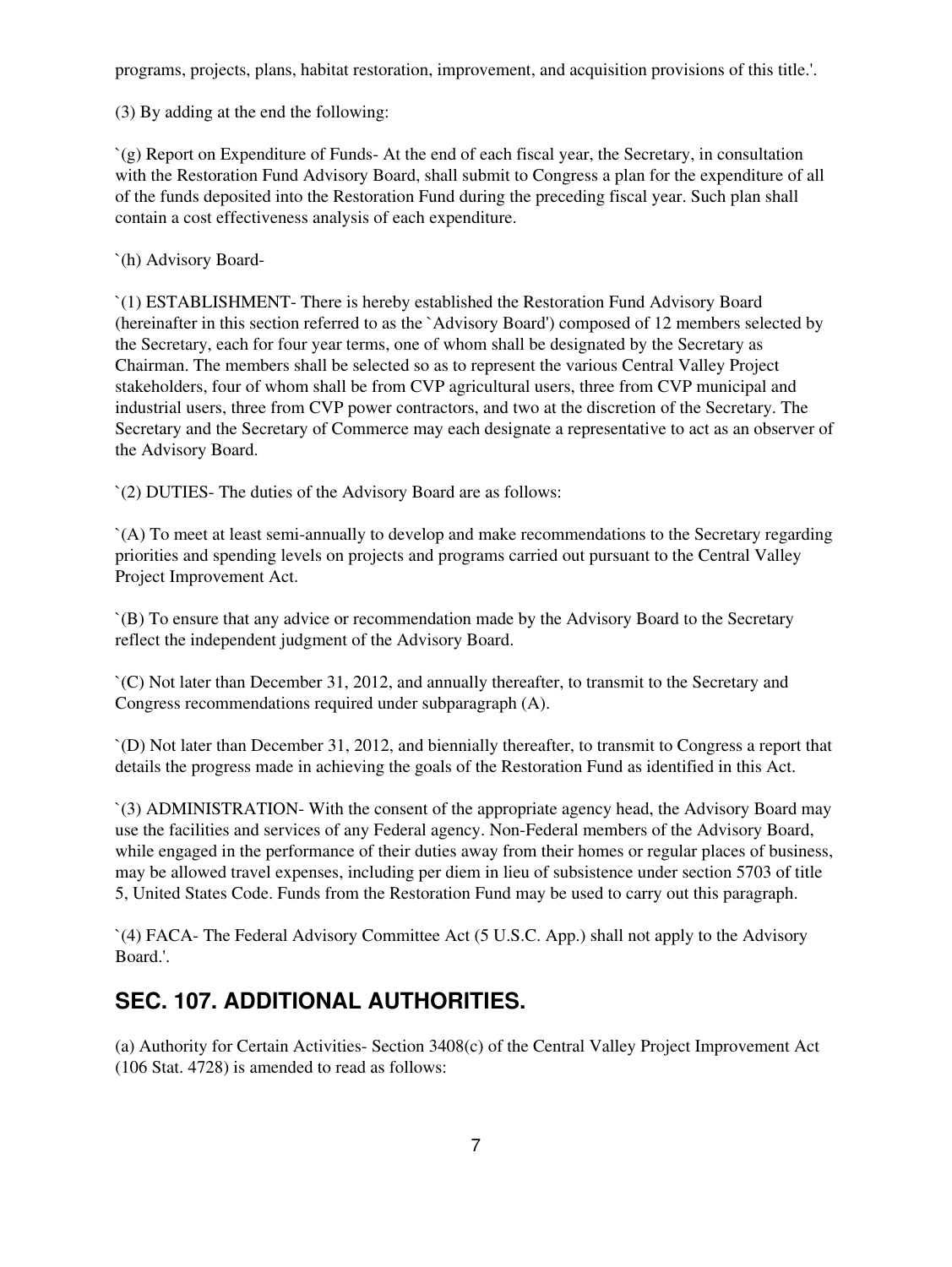programs, projects, plans, habitat restoration, improvement, and acquisition provisions of this title.'.

(3) By adding at the end the following:

`(g) Report on Expenditure of Funds- At the end of each fiscal year, the Secretary, in consultation with the Restoration Fund Advisory Board, shall submit to Congress a plan for the expenditure of all of the funds deposited into the Restoration Fund during the preceding fiscal year. Such plan shall contain a cost effectiveness analysis of each expenditure.

`(h) Advisory Board-

`(1) ESTABLISHMENT- There is hereby established the Restoration Fund Advisory Board (hereinafter in this section referred to as the `Advisory Board') composed of 12 members selected by the Secretary, each for four year terms, one of whom shall be designated by the Secretary as Chairman. The members shall be selected so as to represent the various Central Valley Project stakeholders, four of whom shall be from CVP agricultural users, three from CVP municipal and industrial users, three from CVP power contractors, and two at the discretion of the Secretary. The Secretary and the Secretary of Commerce may each designate a representative to act as an observer of the Advisory Board.

`(2) DUTIES- The duties of the Advisory Board are as follows:

`(A) To meet at least semi-annually to develop and make recommendations to the Secretary regarding priorities and spending levels on projects and programs carried out pursuant to the Central Valley Project Improvement Act.

`(B) To ensure that any advice or recommendation made by the Advisory Board to the Secretary reflect the independent judgment of the Advisory Board.

`(C) Not later than December 31, 2012, and annually thereafter, to transmit to the Secretary and Congress recommendations required under subparagraph (A).

`(D) Not later than December 31, 2012, and biennially thereafter, to transmit to Congress a report that details the progress made in achieving the goals of the Restoration Fund as identified in this Act.

`(3) ADMINISTRATION- With the consent of the appropriate agency head, the Advisory Board may use the facilities and services of any Federal agency. Non-Federal members of the Advisory Board, while engaged in the performance of their duties away from their homes or regular places of business, may be allowed travel expenses, including per diem in lieu of subsistence under section 5703 of title 5, United States Code. Funds from the Restoration Fund may be used to carry out this paragraph.

`(4) FACA- The Federal Advisory Committee Act (5 U.S.C. App.) shall not apply to the Advisory Board.'.

# **SEC. 107. ADDITIONAL AUTHORITIES.**

(a) Authority for Certain Activities- Section 3408(c) of the Central Valley Project Improvement Act (106 Stat. 4728) is amended to read as follows: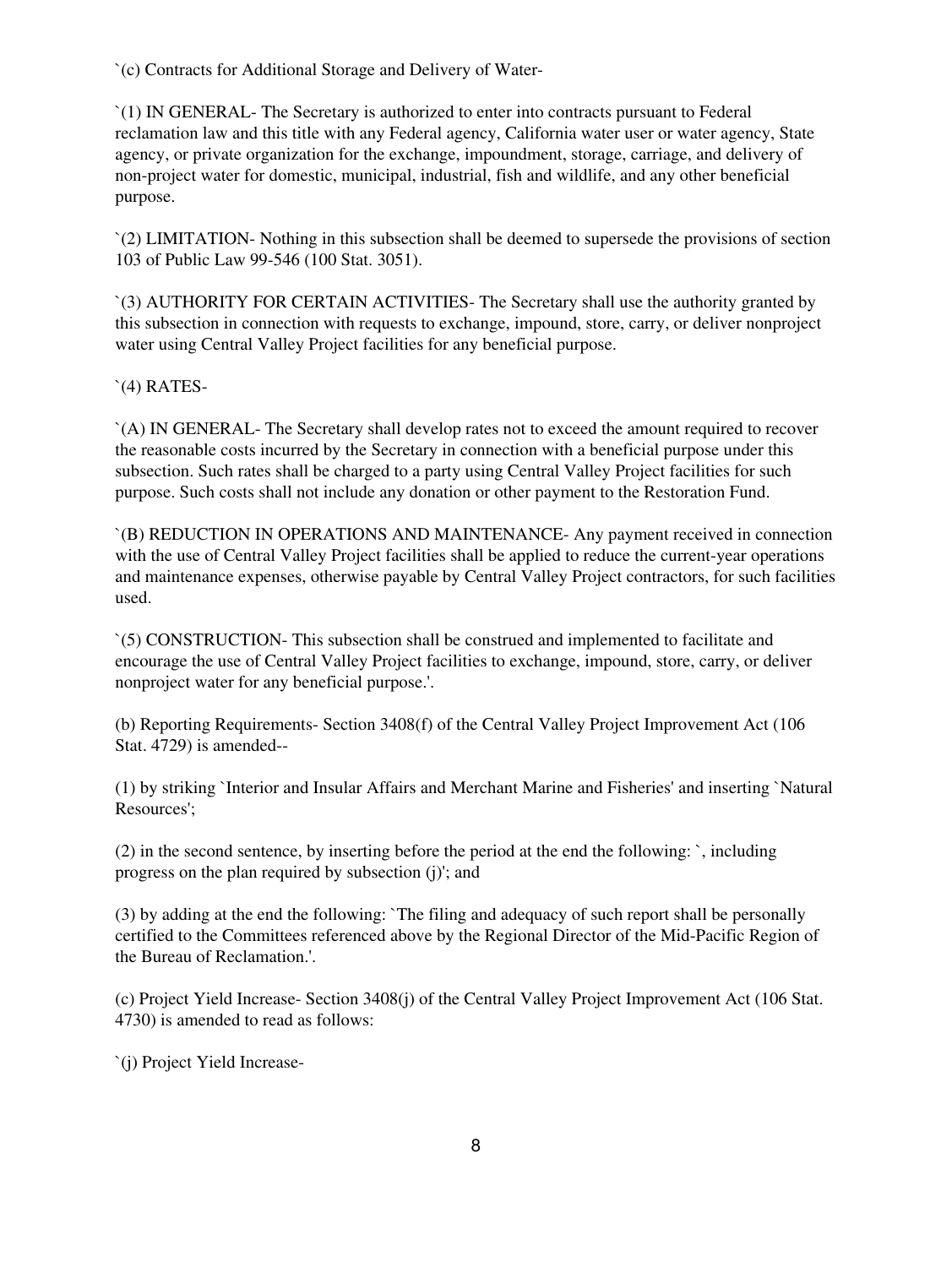`(c) Contracts for Additional Storage and Delivery of Water-

`(1) IN GENERAL- The Secretary is authorized to enter into contracts pursuant to Federal reclamation law and this title with any Federal agency, California water user or water agency, State agency, or private organization for the exchange, impoundment, storage, carriage, and delivery of non-project water for domestic, municipal, industrial, fish and wildlife, and any other beneficial purpose.

`(2) LIMITATION- Nothing in this subsection shall be deemed to supersede the provisions of section 103 of Public Law 99-546 (100 Stat. 3051).

`(3) AUTHORITY FOR CERTAIN ACTIVITIES- The Secretary shall use the authority granted by this subsection in connection with requests to exchange, impound, store, carry, or deliver nonproject water using Central Valley Project facilities for any beneficial purpose.

`(4) RATES-

`(A) IN GENERAL- The Secretary shall develop rates not to exceed the amount required to recover the reasonable costs incurred by the Secretary in connection with a beneficial purpose under this subsection. Such rates shall be charged to a party using Central Valley Project facilities for such purpose. Such costs shall not include any donation or other payment to the Restoration Fund.

`(B) REDUCTION IN OPERATIONS AND MAINTENANCE- Any payment received in connection with the use of Central Valley Project facilities shall be applied to reduce the current-year operations and maintenance expenses, otherwise payable by Central Valley Project contractors, for such facilities used.

`(5) CONSTRUCTION- This subsection shall be construed and implemented to facilitate and encourage the use of Central Valley Project facilities to exchange, impound, store, carry, or deliver nonproject water for any beneficial purpose.'.

(b) Reporting Requirements- Section 3408(f) of the Central Valley Project Improvement Act (106 Stat. 4729) is amended--

(1) by striking `Interior and Insular Affairs and Merchant Marine and Fisheries' and inserting `Natural Resources';

(2) in the second sentence, by inserting before the period at the end the following: `, including progress on the plan required by subsection (j)'; and

(3) by adding at the end the following: `The filing and adequacy of such report shall be personally certified to the Committees referenced above by the Regional Director of the Mid-Pacific Region of the Bureau of Reclamation.'.

(c) Project Yield Increase- Section 3408(j) of the Central Valley Project Improvement Act (106 Stat. 4730) is amended to read as follows:

`(j) Project Yield Increase-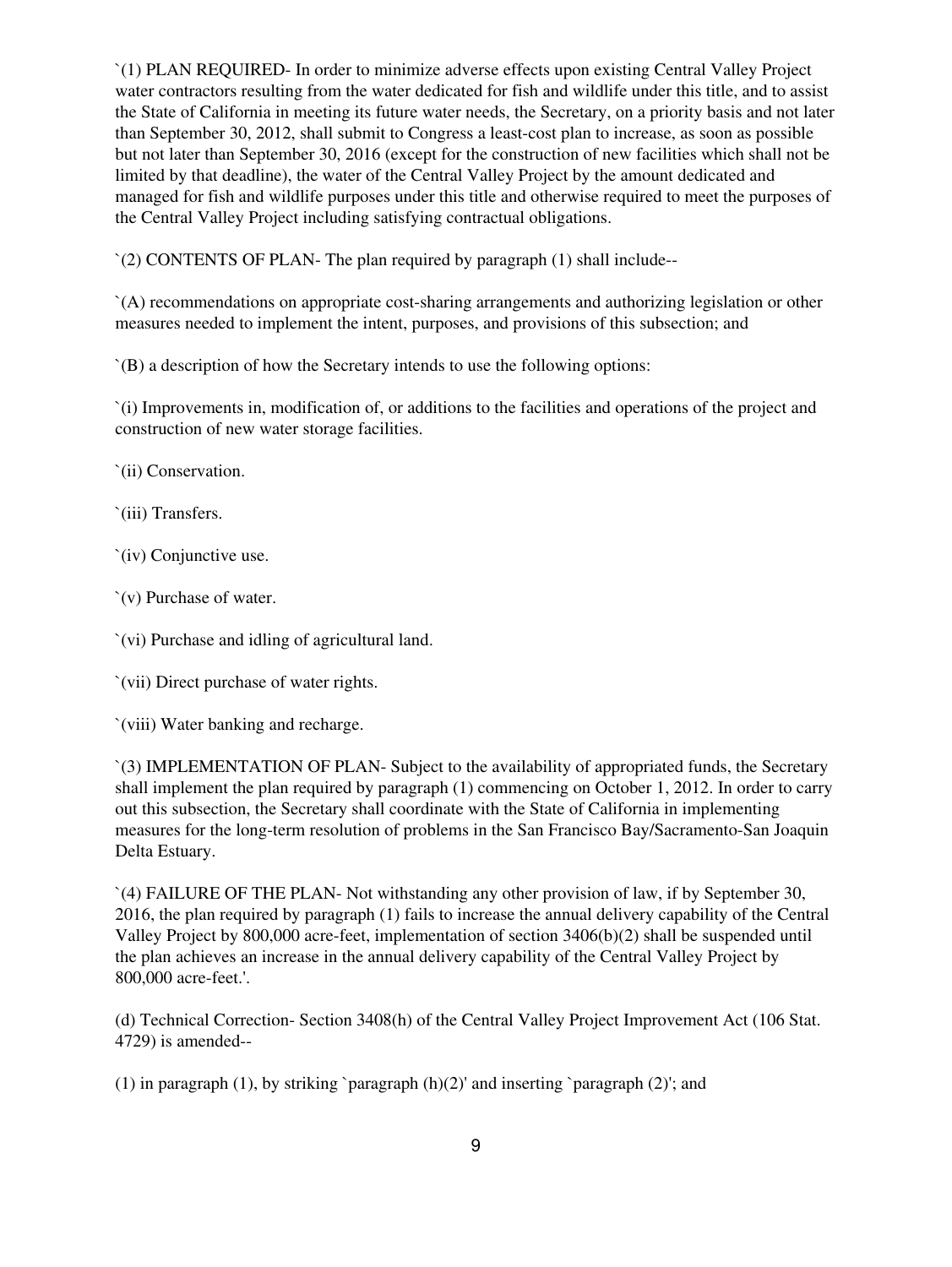`(1) PLAN REQUIRED- In order to minimize adverse effects upon existing Central Valley Project water contractors resulting from the water dedicated for fish and wildlife under this title, and to assist the State of California in meeting its future water needs, the Secretary, on a priority basis and not later than September 30, 2012, shall submit to Congress a least-cost plan to increase, as soon as possible but not later than September 30, 2016 (except for the construction of new facilities which shall not be limited by that deadline), the water of the Central Valley Project by the amount dedicated and managed for fish and wildlife purposes under this title and otherwise required to meet the purposes of the Central Valley Project including satisfying contractual obligations.

`(2) CONTENTS OF PLAN- The plan required by paragraph (1) shall include--

`(A) recommendations on appropriate cost-sharing arrangements and authorizing legislation or other measures needed to implement the intent, purposes, and provisions of this subsection; and

`(B) a description of how the Secretary intends to use the following options:

`(i) Improvements in, modification of, or additions to the facilities and operations of the project and construction of new water storage facilities.

`(ii) Conservation.

`(iii) Transfers.

`(iv) Conjunctive use.

`(v) Purchase of water.

`(vi) Purchase and idling of agricultural land.

`(vii) Direct purchase of water rights.

`(viii) Water banking and recharge.

`(3) IMPLEMENTATION OF PLAN- Subject to the availability of appropriated funds, the Secretary shall implement the plan required by paragraph (1) commencing on October 1, 2012. In order to carry out this subsection, the Secretary shall coordinate with the State of California in implementing measures for the long-term resolution of problems in the San Francisco Bay/Sacramento-San Joaquin Delta Estuary.

`(4) FAILURE OF THE PLAN- Not withstanding any other provision of law, if by September 30, 2016, the plan required by paragraph (1) fails to increase the annual delivery capability of the Central Valley Project by 800,000 acre-feet, implementation of section 3406(b)(2) shall be suspended until the plan achieves an increase in the annual delivery capability of the Central Valley Project by 800,000 acre-feet.'.

(d) Technical Correction- Section 3408(h) of the Central Valley Project Improvement Act (106 Stat. 4729) is amended--

(1) in paragraph (1), by striking `paragraph  $(h)(2)$ ' and inserting `paragraph (2)'; and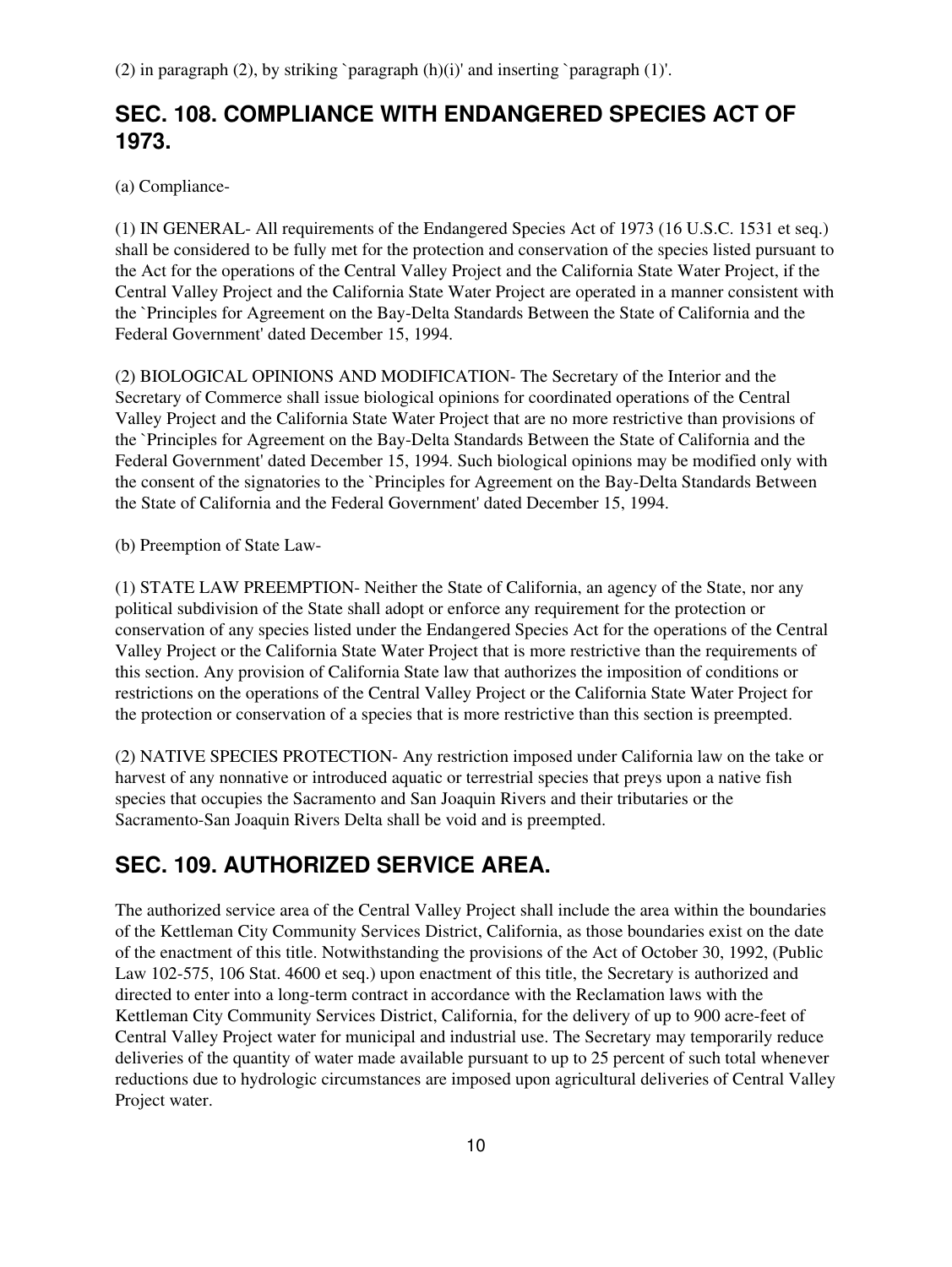(2) in paragraph (2), by striking `paragraph (h)(i)' and inserting `paragraph (1)'.

### **SEC. 108. COMPLIANCE WITH ENDANGERED SPECIES ACT OF 1973.**

(a) Compliance-

(1) IN GENERAL- All requirements of the Endangered Species Act of 1973 (16 U.S.C. 1531 et seq.) shall be considered to be fully met for the protection and conservation of the species listed pursuant to the Act for the operations of the Central Valley Project and the California State Water Project, if the Central Valley Project and the California State Water Project are operated in a manner consistent with the `Principles for Agreement on the Bay-Delta Standards Between the State of California and the Federal Government' dated December 15, 1994.

(2) BIOLOGICAL OPINIONS AND MODIFICATION- The Secretary of the Interior and the Secretary of Commerce shall issue biological opinions for coordinated operations of the Central Valley Project and the California State Water Project that are no more restrictive than provisions of the `Principles for Agreement on the Bay-Delta Standards Between the State of California and the Federal Government' dated December 15, 1994. Such biological opinions may be modified only with the consent of the signatories to the `Principles for Agreement on the Bay-Delta Standards Between the State of California and the Federal Government' dated December 15, 1994.

(b) Preemption of State Law-

(1) STATE LAW PREEMPTION- Neither the State of California, an agency of the State, nor any political subdivision of the State shall adopt or enforce any requirement for the protection or conservation of any species listed under the Endangered Species Act for the operations of the Central Valley Project or the California State Water Project that is more restrictive than the requirements of this section. Any provision of California State law that authorizes the imposition of conditions or restrictions on the operations of the Central Valley Project or the California State Water Project for the protection or conservation of a species that is more restrictive than this section is preempted.

(2) NATIVE SPECIES PROTECTION- Any restriction imposed under California law on the take or harvest of any nonnative or introduced aquatic or terrestrial species that preys upon a native fish species that occupies the Sacramento and San Joaquin Rivers and their tributaries or the Sacramento-San Joaquin Rivers Delta shall be void and is preempted.

# **SEC. 109. AUTHORIZED SERVICE AREA.**

The authorized service area of the Central Valley Project shall include the area within the boundaries of the Kettleman City Community Services District, California, as those boundaries exist on the date of the enactment of this title. Notwithstanding the provisions of the Act of October 30, 1992, (Public Law 102-575, 106 Stat. 4600 et seq.) upon enactment of this title, the Secretary is authorized and directed to enter into a long-term contract in accordance with the Reclamation laws with the Kettleman City Community Services District, California, for the delivery of up to 900 acre-feet of Central Valley Project water for municipal and industrial use. The Secretary may temporarily reduce deliveries of the quantity of water made available pursuant to up to 25 percent of such total whenever reductions due to hydrologic circumstances are imposed upon agricultural deliveries of Central Valley Project water.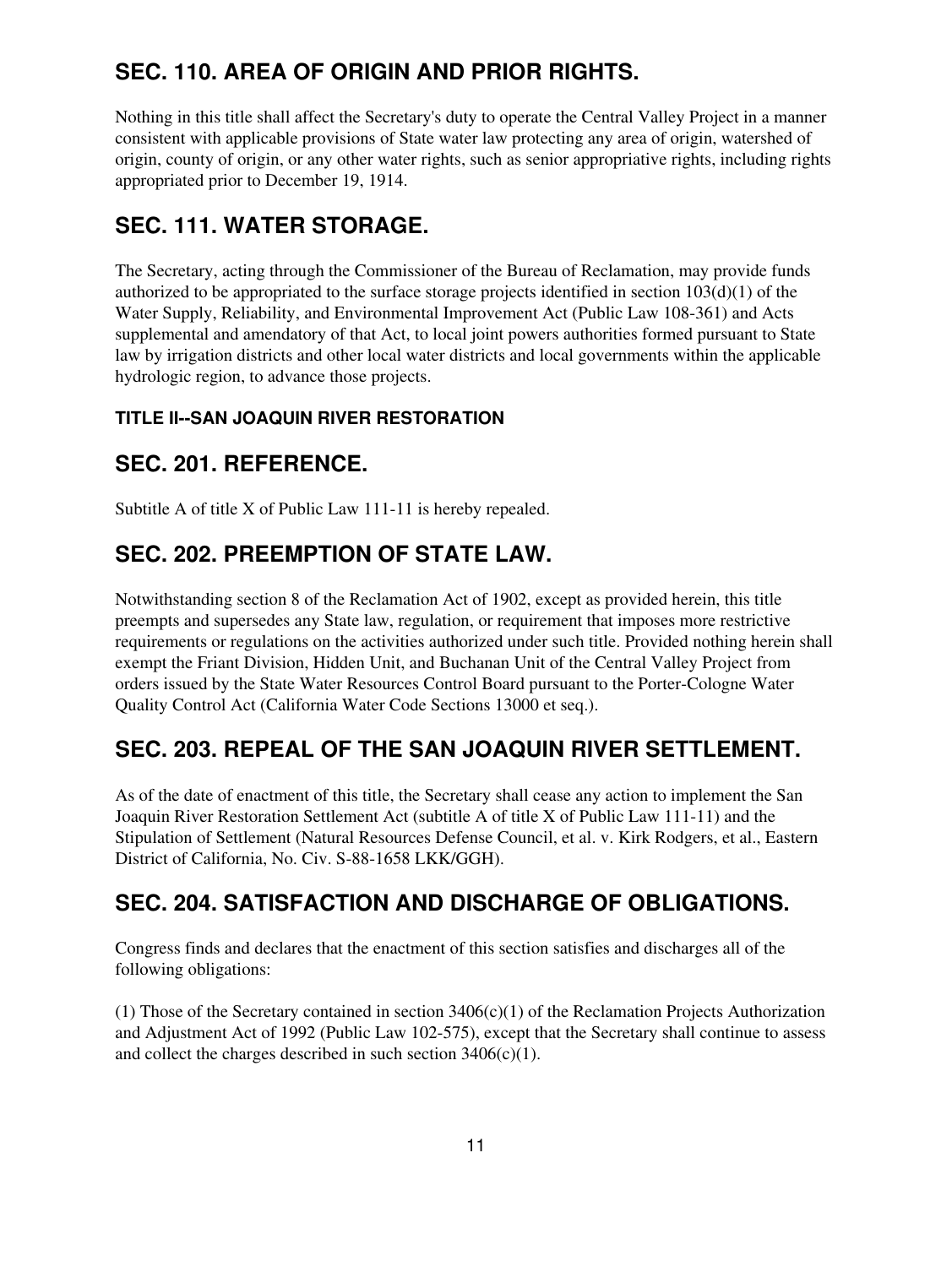# **SEC. 110. AREA OF ORIGIN AND PRIOR RIGHTS.**

Nothing in this title shall affect the Secretary's duty to operate the Central Valley Project in a manner consistent with applicable provisions of State water law protecting any area of origin, watershed of origin, county of origin, or any other water rights, such as senior appropriative rights, including rights appropriated prior to December 19, 1914.

## **SEC. 111. WATER STORAGE.**

The Secretary, acting through the Commissioner of the Bureau of Reclamation, may provide funds authorized to be appropriated to the surface storage projects identified in section  $103(d)(1)$  of the Water Supply, Reliability, and Environmental Improvement Act (Public Law 108-361) and Acts supplemental and amendatory of that Act, to local joint powers authorities formed pursuant to State law by irrigation districts and other local water districts and local governments within the applicable hydrologic region, to advance those projects.

#### **TITLE II--SAN JOAQUIN RIVER RESTORATION**

#### **SEC. 201. REFERENCE.**

Subtitle A of title X of Public Law 111-11 is hereby repealed.

## **SEC. 202. PREEMPTION OF STATE LAW.**

Notwithstanding section 8 of the Reclamation Act of 1902, except as provided herein, this title preempts and supersedes any State law, regulation, or requirement that imposes more restrictive requirements or regulations on the activities authorized under such title. Provided nothing herein shall exempt the Friant Division, Hidden Unit, and Buchanan Unit of the Central Valley Project from orders issued by the State Water Resources Control Board pursuant to the Porter-Cologne Water Quality Control Act (California Water Code Sections 13000 et seq.).

## **SEC. 203. REPEAL OF THE SAN JOAQUIN RIVER SETTLEMENT.**

As of the date of enactment of this title, the Secretary shall cease any action to implement the San Joaquin River Restoration Settlement Act (subtitle A of title X of Public Law 111-11) and the Stipulation of Settlement (Natural Resources Defense Council, et al. v. Kirk Rodgers, et al., Eastern District of California, No. Civ. S-88-1658 LKK/GGH).

## **SEC. 204. SATISFACTION AND DISCHARGE OF OBLIGATIONS.**

Congress finds and declares that the enactment of this section satisfies and discharges all of the following obligations:

(1) Those of the Secretary contained in section 3406(c)(1) of the Reclamation Projects Authorization and Adjustment Act of 1992 (Public Law 102-575), except that the Secretary shall continue to assess and collect the charges described in such section  $3406(c)(1)$ .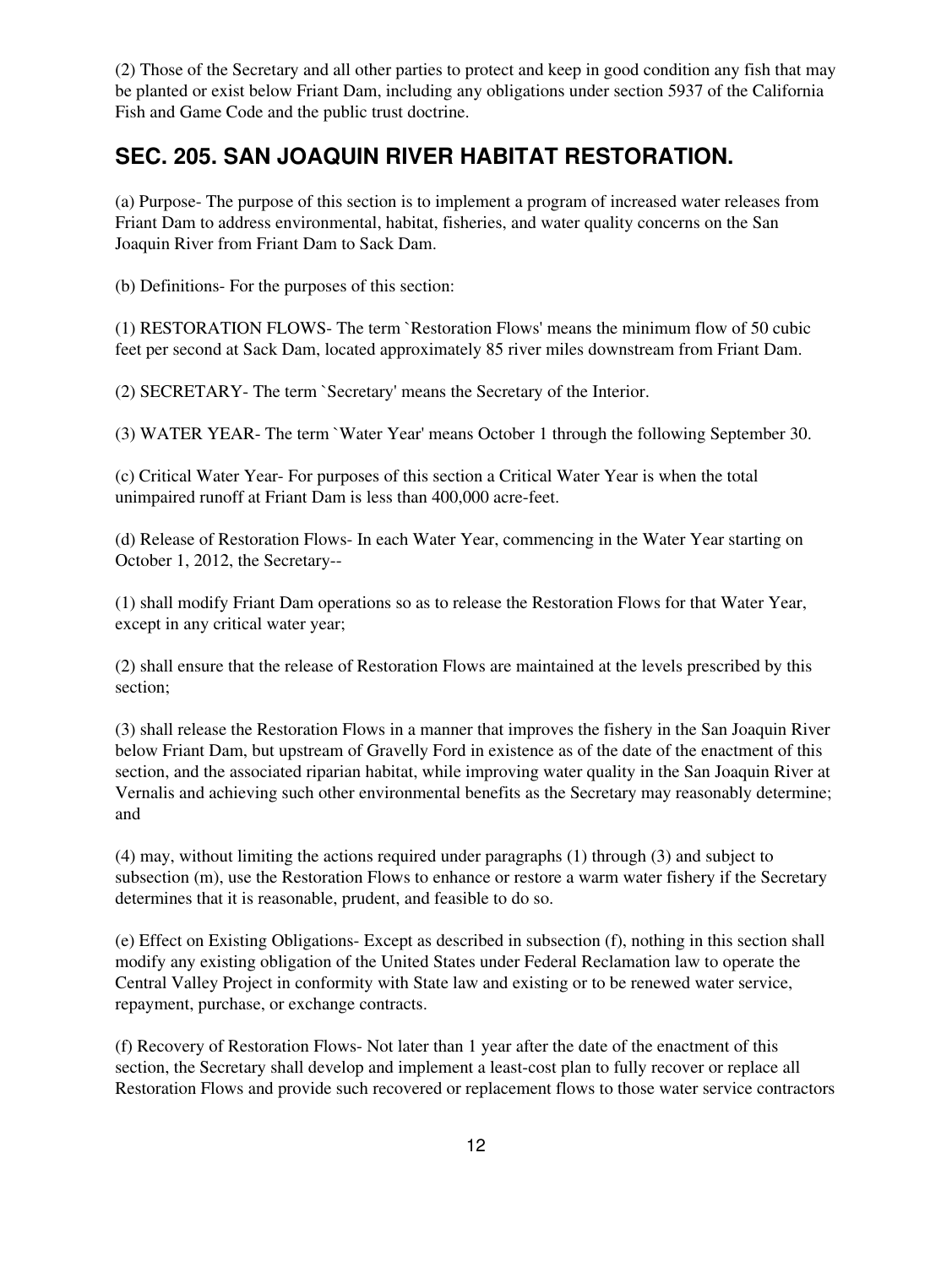(2) Those of the Secretary and all other parties to protect and keep in good condition any fish that may be planted or exist below Friant Dam, including any obligations under section 5937 of the California Fish and Game Code and the public trust doctrine.

#### **SEC. 205. SAN JOAQUIN RIVER HABITAT RESTORATION.**

(a) Purpose- The purpose of this section is to implement a program of increased water releases from Friant Dam to address environmental, habitat, fisheries, and water quality concerns on the San Joaquin River from Friant Dam to Sack Dam.

(b) Definitions- For the purposes of this section:

(1) RESTORATION FLOWS- The term `Restoration Flows' means the minimum flow of 50 cubic feet per second at Sack Dam, located approximately 85 river miles downstream from Friant Dam.

(2) SECRETARY- The term `Secretary' means the Secretary of the Interior.

(3) WATER YEAR- The term `Water Year' means October 1 through the following September 30.

(c) Critical Water Year- For purposes of this section a Critical Water Year is when the total unimpaired runoff at Friant Dam is less than 400,000 acre-feet.

(d) Release of Restoration Flows- In each Water Year, commencing in the Water Year starting on October 1, 2012, the Secretary--

(1) shall modify Friant Dam operations so as to release the Restoration Flows for that Water Year, except in any critical water year;

(2) shall ensure that the release of Restoration Flows are maintained at the levels prescribed by this section;

(3) shall release the Restoration Flows in a manner that improves the fishery in the San Joaquin River below Friant Dam, but upstream of Gravelly Ford in existence as of the date of the enactment of this section, and the associated riparian habitat, while improving water quality in the San Joaquin River at Vernalis and achieving such other environmental benefits as the Secretary may reasonably determine; and

(4) may, without limiting the actions required under paragraphs (1) through (3) and subject to subsection (m), use the Restoration Flows to enhance or restore a warm water fishery if the Secretary determines that it is reasonable, prudent, and feasible to do so.

(e) Effect on Existing Obligations- Except as described in subsection (f), nothing in this section shall modify any existing obligation of the United States under Federal Reclamation law to operate the Central Valley Project in conformity with State law and existing or to be renewed water service, repayment, purchase, or exchange contracts.

(f) Recovery of Restoration Flows- Not later than 1 year after the date of the enactment of this section, the Secretary shall develop and implement a least-cost plan to fully recover or replace all Restoration Flows and provide such recovered or replacement flows to those water service contractors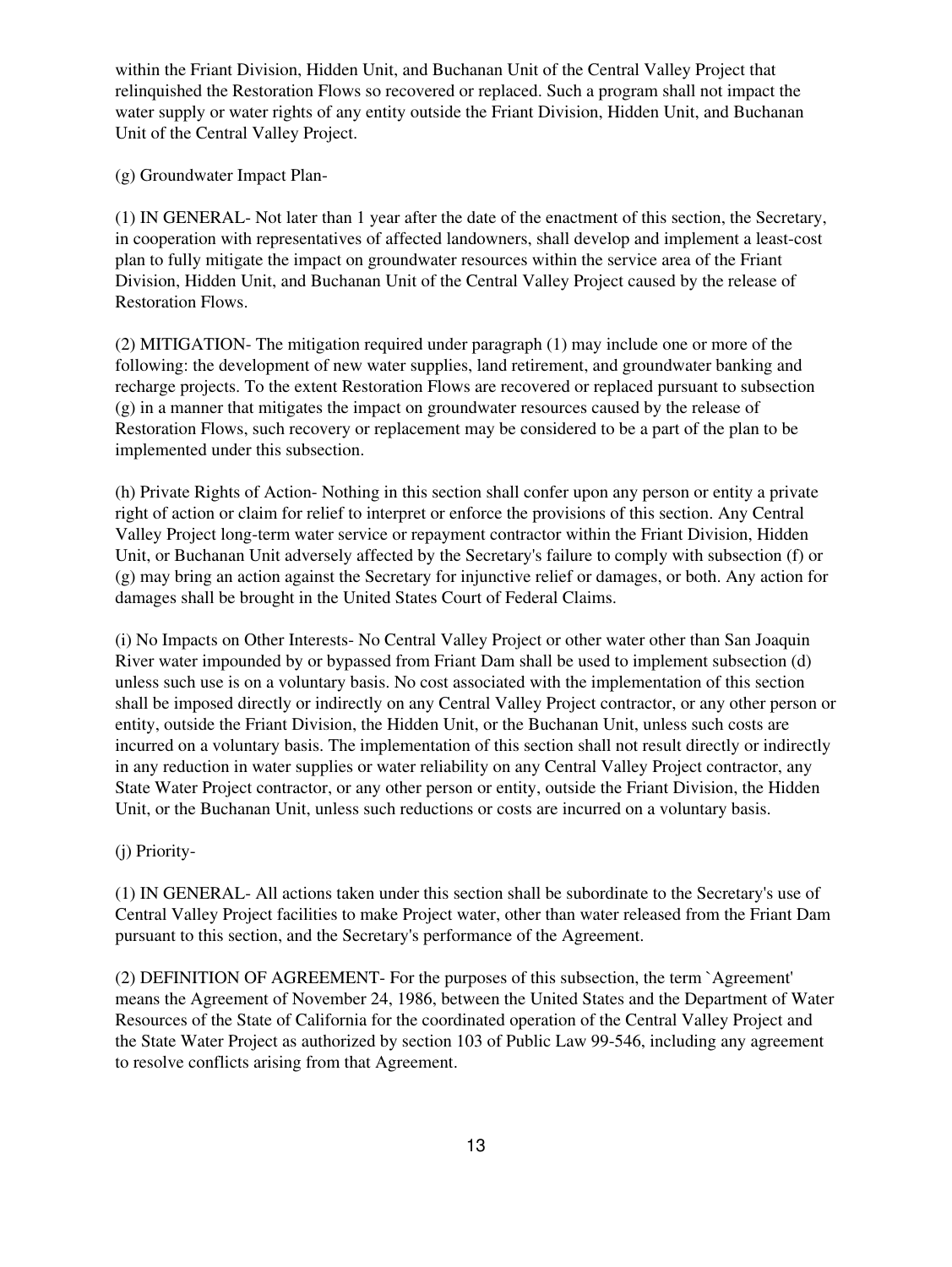within the Friant Division, Hidden Unit, and Buchanan Unit of the Central Valley Project that relinquished the Restoration Flows so recovered or replaced. Such a program shall not impact the water supply or water rights of any entity outside the Friant Division, Hidden Unit, and Buchanan Unit of the Central Valley Project.

(g) Groundwater Impact Plan-

(1) IN GENERAL- Not later than 1 year after the date of the enactment of this section, the Secretary, in cooperation with representatives of affected landowners, shall develop and implement a least-cost plan to fully mitigate the impact on groundwater resources within the service area of the Friant Division, Hidden Unit, and Buchanan Unit of the Central Valley Project caused by the release of Restoration Flows.

(2) MITIGATION- The mitigation required under paragraph (1) may include one or more of the following: the development of new water supplies, land retirement, and groundwater banking and recharge projects. To the extent Restoration Flows are recovered or replaced pursuant to subsection (g) in a manner that mitigates the impact on groundwater resources caused by the release of Restoration Flows, such recovery or replacement may be considered to be a part of the plan to be implemented under this subsection.

(h) Private Rights of Action- Nothing in this section shall confer upon any person or entity a private right of action or claim for relief to interpret or enforce the provisions of this section. Any Central Valley Project long-term water service or repayment contractor within the Friant Division, Hidden Unit, or Buchanan Unit adversely affected by the Secretary's failure to comply with subsection (f) or (g) may bring an action against the Secretary for injunctive relief or damages, or both. Any action for damages shall be brought in the United States Court of Federal Claims.

(i) No Impacts on Other Interests- No Central Valley Project or other water other than San Joaquin River water impounded by or bypassed from Friant Dam shall be used to implement subsection (d) unless such use is on a voluntary basis. No cost associated with the implementation of this section shall be imposed directly or indirectly on any Central Valley Project contractor, or any other person or entity, outside the Friant Division, the Hidden Unit, or the Buchanan Unit, unless such costs are incurred on a voluntary basis. The implementation of this section shall not result directly or indirectly in any reduction in water supplies or water reliability on any Central Valley Project contractor, any State Water Project contractor, or any other person or entity, outside the Friant Division, the Hidden Unit, or the Buchanan Unit, unless such reductions or costs are incurred on a voluntary basis.

(j) Priority-

(1) IN GENERAL- All actions taken under this section shall be subordinate to the Secretary's use of Central Valley Project facilities to make Project water, other than water released from the Friant Dam pursuant to this section, and the Secretary's performance of the Agreement.

(2) DEFINITION OF AGREEMENT- For the purposes of this subsection, the term `Agreement' means the Agreement of November 24, 1986, between the United States and the Department of Water Resources of the State of California for the coordinated operation of the Central Valley Project and the State Water Project as authorized by section 103 of Public Law 99-546, including any agreement to resolve conflicts arising from that Agreement.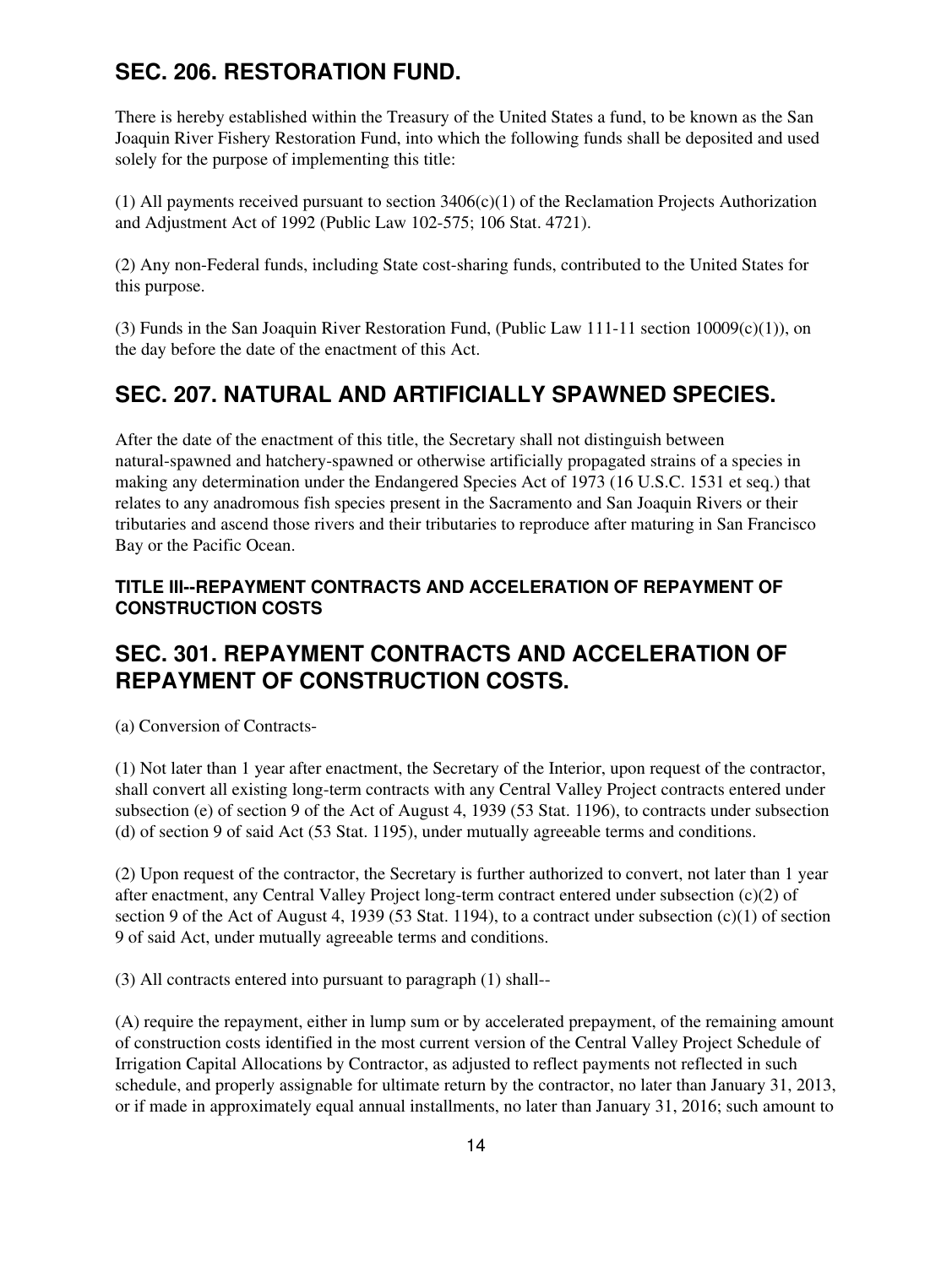## **SEC. 206. RESTORATION FUND.**

There is hereby established within the Treasury of the United States a fund, to be known as the San Joaquin River Fishery Restoration Fund, into which the following funds shall be deposited and used solely for the purpose of implementing this title:

(1) All payments received pursuant to section 3406(c)(1) of the Reclamation Projects Authorization and Adjustment Act of 1992 (Public Law 102-575; 106 Stat. 4721).

(2) Any non-Federal funds, including State cost-sharing funds, contributed to the United States for this purpose.

(3) Funds in the San Joaquin River Restoration Fund, (Public Law 111-11 section  $10009(c)(1)$ ), on the day before the date of the enactment of this Act.

## **SEC. 207. NATURAL AND ARTIFICIALLY SPAWNED SPECIES.**

After the date of the enactment of this title, the Secretary shall not distinguish between natural-spawned and hatchery-spawned or otherwise artificially propagated strains of a species in making any determination under the Endangered Species Act of 1973 (16 U.S.C. 1531 et seq.) that relates to any anadromous fish species present in the Sacramento and San Joaquin Rivers or their tributaries and ascend those rivers and their tributaries to reproduce after maturing in San Francisco Bay or the Pacific Ocean.

#### **TITLE III--REPAYMENT CONTRACTS AND ACCELERATION OF REPAYMENT OF CONSTRUCTION COSTS**

## **SEC. 301. REPAYMENT CONTRACTS AND ACCELERATION OF REPAYMENT OF CONSTRUCTION COSTS.**

(a) Conversion of Contracts-

(1) Not later than 1 year after enactment, the Secretary of the Interior, upon request of the contractor, shall convert all existing long-term contracts with any Central Valley Project contracts entered under subsection (e) of section 9 of the Act of August 4, 1939 (53 Stat. 1196), to contracts under subsection (d) of section 9 of said Act (53 Stat. 1195), under mutually agreeable terms and conditions.

(2) Upon request of the contractor, the Secretary is further authorized to convert, not later than 1 year after enactment, any Central Valley Project long-term contract entered under subsection (c)(2) of section 9 of the Act of August 4, 1939 (53 Stat. 1194), to a contract under subsection (c)(1) of section 9 of said Act, under mutually agreeable terms and conditions.

(3) All contracts entered into pursuant to paragraph (1) shall--

(A) require the repayment, either in lump sum or by accelerated prepayment, of the remaining amount of construction costs identified in the most current version of the Central Valley Project Schedule of Irrigation Capital Allocations by Contractor, as adjusted to reflect payments not reflected in such schedule, and properly assignable for ultimate return by the contractor, no later than January 31, 2013, or if made in approximately equal annual installments, no later than January 31, 2016; such amount to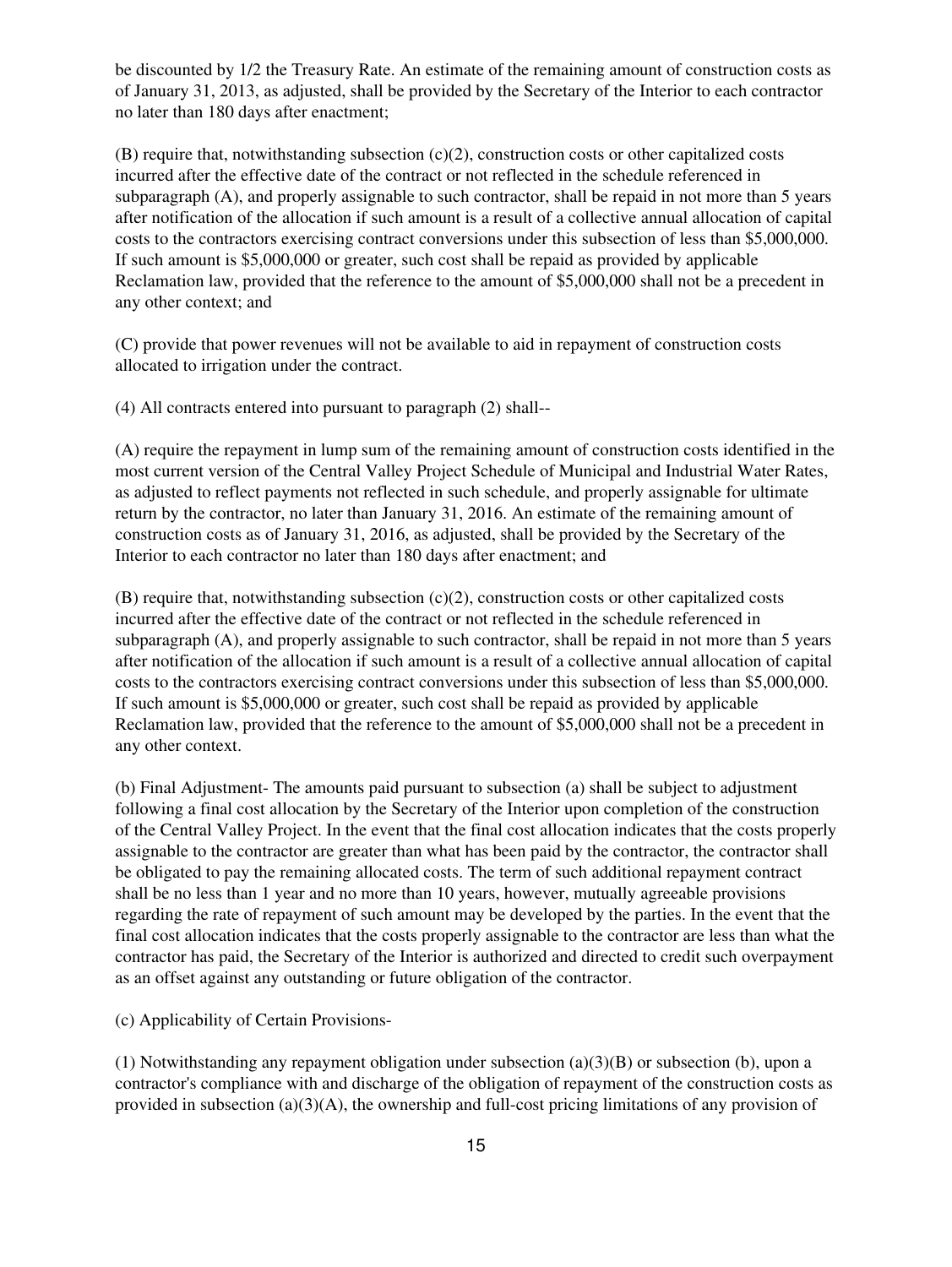be discounted by 1/2 the Treasury Rate. An estimate of the remaining amount of construction costs as of January 31, 2013, as adjusted, shall be provided by the Secretary of the Interior to each contractor no later than 180 days after enactment;

(B) require that, notwithstanding subsection (c)(2), construction costs or other capitalized costs incurred after the effective date of the contract or not reflected in the schedule referenced in subparagraph (A), and properly assignable to such contractor, shall be repaid in not more than 5 years after notification of the allocation if such amount is a result of a collective annual allocation of capital costs to the contractors exercising contract conversions under this subsection of less than \$5,000,000. If such amount is \$5,000,000 or greater, such cost shall be repaid as provided by applicable Reclamation law, provided that the reference to the amount of \$5,000,000 shall not be a precedent in any other context; and

(C) provide that power revenues will not be available to aid in repayment of construction costs allocated to irrigation under the contract.

(4) All contracts entered into pursuant to paragraph (2) shall--

(A) require the repayment in lump sum of the remaining amount of construction costs identified in the most current version of the Central Valley Project Schedule of Municipal and Industrial Water Rates, as adjusted to reflect payments not reflected in such schedule, and properly assignable for ultimate return by the contractor, no later than January 31, 2016. An estimate of the remaining amount of construction costs as of January 31, 2016, as adjusted, shall be provided by the Secretary of the Interior to each contractor no later than 180 days after enactment; and

(B) require that, notwithstanding subsection (c)(2), construction costs or other capitalized costs incurred after the effective date of the contract or not reflected in the schedule referenced in subparagraph (A), and properly assignable to such contractor, shall be repaid in not more than 5 years after notification of the allocation if such amount is a result of a collective annual allocation of capital costs to the contractors exercising contract conversions under this subsection of less than \$5,000,000. If such amount is \$5,000,000 or greater, such cost shall be repaid as provided by applicable Reclamation law, provided that the reference to the amount of \$5,000,000 shall not be a precedent in any other context.

(b) Final Adjustment- The amounts paid pursuant to subsection (a) shall be subject to adjustment following a final cost allocation by the Secretary of the Interior upon completion of the construction of the Central Valley Project. In the event that the final cost allocation indicates that the costs properly assignable to the contractor are greater than what has been paid by the contractor, the contractor shall be obligated to pay the remaining allocated costs. The term of such additional repayment contract shall be no less than 1 year and no more than 10 years, however, mutually agreeable provisions regarding the rate of repayment of such amount may be developed by the parties. In the event that the final cost allocation indicates that the costs properly assignable to the contractor are less than what the contractor has paid, the Secretary of the Interior is authorized and directed to credit such overpayment as an offset against any outstanding or future obligation of the contractor.

(c) Applicability of Certain Provisions-

(1) Notwithstanding any repayment obligation under subsection (a)(3)(B) or subsection (b), upon a contractor's compliance with and discharge of the obligation of repayment of the construction costs as provided in subsection (a)(3)(A), the ownership and full-cost pricing limitations of any provision of